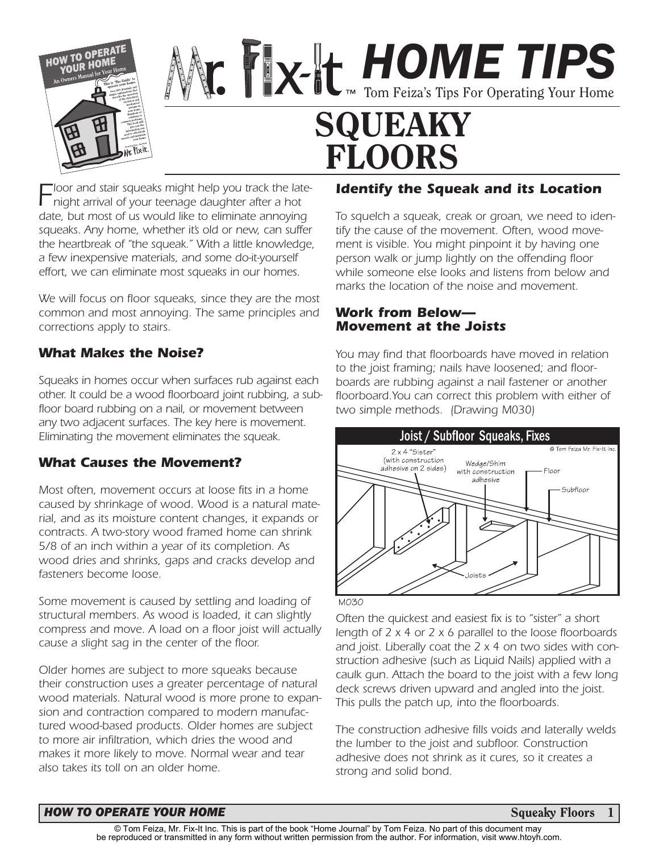

*HOME TIPS* Tom Feiza's Tips For Operating Your Home **SQUEAKY FLOORS**

*Floor and stair squeaks might help you track the latenight arrival of your teenage daughter after a hot date, but most of us would like to eliminate annoying squeaks. Any home, whether it's old or new, can suffer the heartbreak of "the squeak." With a little knowledge, a few inexpensive materials, and some do-it-yourself effort, we can eliminate most squeaks in our homes.* 

*We will focus on floor squeaks, since they are the most common and most annoying. The same principles and corrections apply to stairs.*

### *What Makes the Noise?*

*Squeaks in homes occur when surfaces rub against each other. It could be a wood floorboard joint rubbing, a subfloor board rubbing on a nail, or movement between any two adjacent surfaces. The key here is movement. Eliminating the movement eliminates the squeak.*

## *What Causes the Movement?*

*Most often, movement occurs at loose fits in a home caused by shrinkage of wood. Wood is a natural material, and as its moisture content changes, it expands or contracts. A two-story wood framed home can shrink 5/8 of an inch within a year of its completion. As wood dries and shrinks, gaps and cracks develop and fasteners become loose.*

*Some movement is caused by settling and loading of structural members. As wood is loaded, it can slightly compress and move. A load on a floor joist will actually cause a slight sag in the center of the floor.*

*Older homes are subject to more squeaks because their construction uses a greater percentage of natural wood materials. Natural wood is more prone to expansion and contraction compared to modern manufactured wood-based products. Older homes are subject to more air infiltration, which dries the wood and makes it more likely to move. Normal wear and tear also takes its toll on an older home.*

## *Identify the Squeak and its Location*

*To squelch a squeak, creak or groan, we need to identify the cause of the movement. Often, wood movement is visible. You might pinpoint it by having one person walk or jump lightly on the offending floor while someone else looks and listens from below and marks the location of the noise and movement.*

#### *Work from Below— Movement at the Joists*

*You may find that floorboards have moved in relation to the joist framing; nails have loosened; and floorboards are rubbing against a nail fastener or another floorboard.You can correct this problem with either of two simple methods. (Drawing M030)*



#### M030

*Often the quickest and easiest fix is to "sister" a short length of 2 x 4 or 2 x 6 parallel to the loose floorboards and joist. Liberally coat the 2 x 4 on two sides with construction adhesive (such as Liquid Nails) applied with a caulk gun. Attach the board to the joist with a few long deck screws driven upward and angled into the joist. This pulls the patch up, into the floorboards.*

*The construction adhesive fills voids and laterally welds the lumber to the joist and subfloor. Construction adhesive does not shrink as it cures, so it creates a strong and solid bond.*

#### *HOW TO OPERATE YOUR HOME* **State of the state of the state of the state of the Squeaky Floors <b>Squeaky Floors**

**1**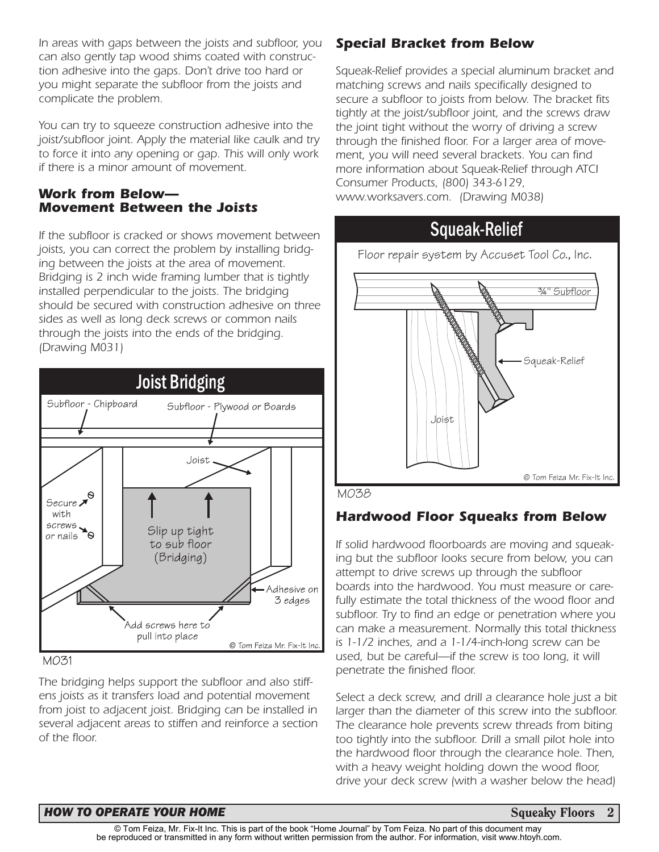*In areas with gaps between the joists and subfloor, you can also gently tap wood shims coated with construction adhesive into the gaps. Don't drive too hard or you might separate the subfloor from the joists and complicate the problem.* 

*You can try to squeeze construction adhesive into the joist/subfloor joint. Apply the material like caulk and try to force it into any opening or gap. This will only work if there is a minor amount of movement.*

#### *Work from Below— Movement Between the Joists*

*If the subfloor is cracked or shows movement between joists, you can correct the problem by installing bridging between the joists at the area of movement. Bridging is 2 inch wide framing lumber that is tightly installed perpendicular to the joists. The bridging should be secured with construction adhesive on three sides as well as long deck screws or common nails through the joists into the ends of the bridging. (Drawing M031)*



MO31

*The bridging helps support the subfloor and also stiffens joists as it transfers load and potential movement from joist to adjacent joist. Bridging can be installed in several adjacent areas to stiffen and reinforce a section of the floor.* 

# *Special Bracket from Below*

*Squeak-Relief provides a special aluminum bracket and matching screws and nails specifically designed to secure a subfloor to joists from below. The bracket fits tightly at the joist/subfloor joint, and the screws draw the joint tight without the worry of driving a screw through the finished floor. For a larger area of movement, you will need several brackets. You can find more information about Squeak-Relief through ATCI Consumer Products, (800) 343-6129, www.worksavers.com. (Drawing M038)*

# Squeak-Relief



M038

# *Hardwood Floor Squeaks from Below*

*If solid hardwood floorboards are moving and squeaking but the subfloor looks secure from below, you can attempt to drive screws up through the subfloor boards into the hardwood. You must measure or carefully estimate the total thickness of the wood floor and subfloor. Try to find an edge or penetration where you can make a measurement. Normally this total thickness is 1-1/2 inches, and a 1-1/4-inch-long screw can be used, but be careful—if the screw is too long, it will penetrate the finished floor.*

*Select a deck screw, and drill a clearance hole just a bit larger than the diameter of this screw into the subfloor. The clearance hole prevents screw threads from biting too tightly into the subfloor. Drill a small pilot hole into the hardwood floor through the clearance hole. Then, with a heavy weight holding down the wood floor, drive your deck screw (with a washer below the head)*

#### *HOW TO OPERATE YOUR HOME* **Squeaky Floors 2 Squeaky Floors 2**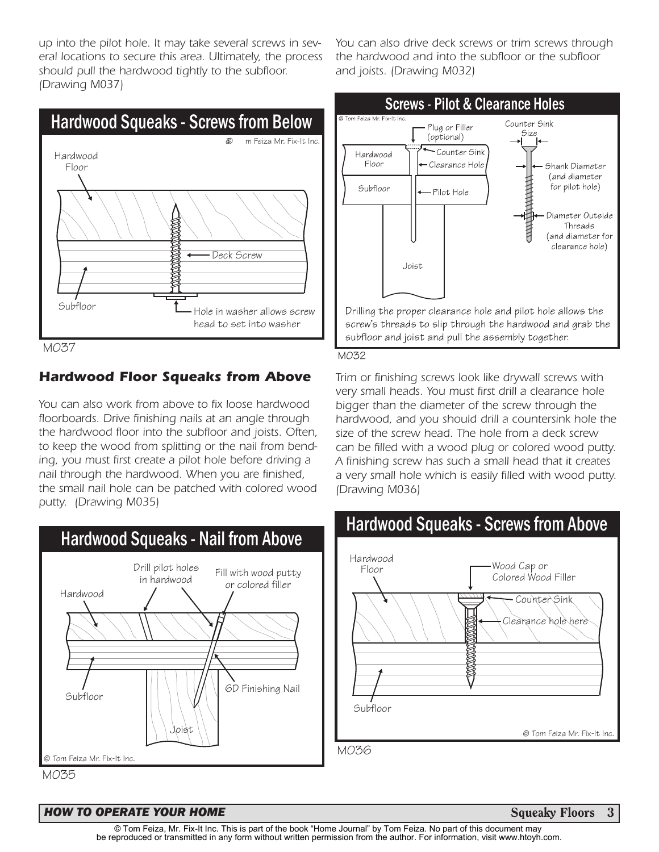*up into the pilot hole. It may take several screws in several locations to secure this area. Ultimately, the process should pull the hardwood tightly to the subfloor. (Drawing M037)*



M037

### *Hardwood Floor Squeaks from Above*

*You can also work from above to fix loose hardwood floorboards. Drive finishing nails at an angle through the hardwood floor into the subfloor and joists. Often, to keep the wood from splitting or the nail from bending, you must first create a pilot hole before driving a nail through the hardwood. When you are finished, the small nail hole can be patched with colored wood putty. (Drawing M035)*



M035

#### **HOW TO OPERATE YOUR HOME State of the state of the state of the Squeaky Floors 3 Squeaky Floors 3**

*You can also drive deck screws or trim screws through the hardwood and into the subfloor or the subfloor and joists. (Drawing M032)*



*Trim or finishing screws look like drywall screws with very small heads. You must first drill a clearance hole bigger than the diameter of the screw through the hardwood, and you should drill a countersink hole the size of the screw head. The hole from a deck screw can be filled with a wood plug or colored wood putty. A finishing screw has such a small head that it creates a very small hole which is easily filled with wood putty. (Drawing M036)*

# Hardwood Squeaks - Screws from Above

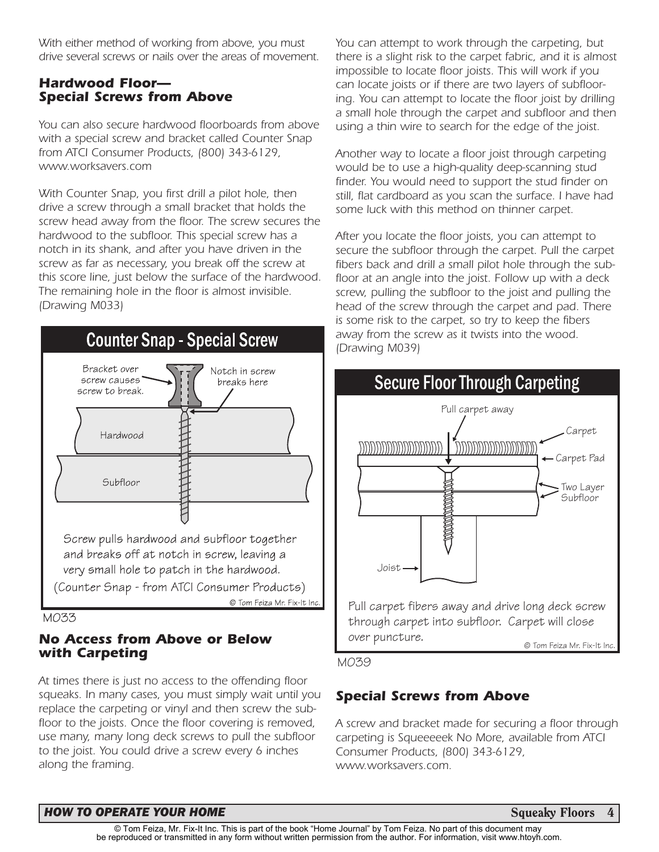*With either method of working from above, you must drive several screws or nails over the areas of movement.*

### *Hardwood Floor— Special Screws from Above*

*You can also secure hardwood floorboards from above with a special screw and bracket called Counter Snap from ATCI Consumer Products, (800) 343-6129, www.worksavers.com*

*With Counter Snap, you first drill a pilot hole, then drive a screw through a small bracket that holds the screw head away from the floor. The screw secures the hardwood to the subfloor. This special screw has a notch in its shank, and after you have driven in the screw as far as necessary, you break off the screw at this score line, just below the surface of the hardwood. The remaining hole in the floor is almost invisible. (Drawing M033)*





#### *No Access from Above or Below with Carpeting*

*At times there is just no access to the offending floor squeaks. In many cases, you must simply wait until you replace the carpeting or vinyl and then screw the subfloor to the joists. Once the floor covering is removed, use many, many long deck screws to pull the subfloor to the joist. You could drive a screw every 6 inches along the framing.*

*You can attempt to work through the carpeting, but there is a slight risk to the carpet fabric, and it is almost impossible to locate floor joists. This will work if you can locate joists or if there are two layers of subflooring. You can attempt to locate the floor joist by drilling a small hole through the carpet and subfloor and then using a thin wire to search for the edge of the joist.*

*Another way to locate a floor joist through carpeting would be to use a high-quality deep-scanning stud finder. You would need to support the stud finder on still, flat cardboard as you scan the surface. I have had some luck with this method on thinner carpet.*

*After you locate the floor joists, you can attempt to secure the subfloor through the carpet. Pull the carpet fibers back and drill a small pilot hole through the subfloor at an angle into the joist. Follow up with a deck screw, pulling the subfloor to the joist and pulling the head of the screw through the carpet and pad. There is some risk to the carpet, so try to keep the fibers away from the screw as it twists into the wood. (Drawing M039)*



M039

# *Special Screws from Above*

*A screw and bracket made for securing a floor through carpeting is Squeeeeek No More, available from ATCI Consumer Products, (800) 343-6129, www.worksavers.com.* 

#### **HOW TO OPERATE YOUR HOME State of the state of the state of the Squeaky Floors 4**